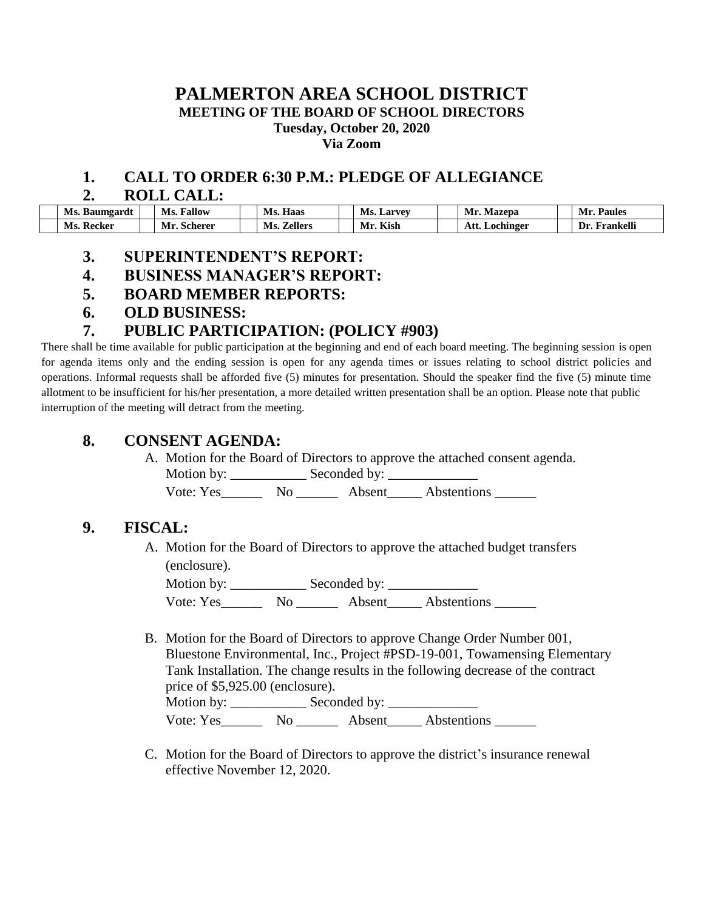#### **PALMERTON AREA SCHOOL DISTRICT MEETING OF THE BOARD OF SCHOOL DIRECTORS Tuesday, October 20, 2020 Via Zoom**

## **1. CALL TO ORDER 6:30 P.M.: PLEDGE OF ALLEGIANCE**

#### **2. ROLL CALL:**

| Ms.<br>Baumgardu | <b>Fallow</b><br>Ms. | $-$<br>Haas<br>Ms. | Ms.<br>$\mathbf{\mathbf{\omega}$ arvev | Mı<br>Mazepa      | Mı<br>Paules        |
|------------------|----------------------|--------------------|----------------------------------------|-------------------|---------------------|
| Ms.<br>Recker    | Scherer<br>Mı        | Zellers<br>Ms.     | Kish<br>IVІ                            | Att.<br>Lochinger | .<br>†rankell<br>)r |

#### **3. SUPERINTENDENT'S REPORT:**

- **4. BUSINESS MANAGER'S REPORT:**
- **5. BOARD MEMBER REPORTS:**
- **6. OLD BUSINESS:**

## **7. PUBLIC PARTICIPATION: (POLICY #903)**

There shall be time available for public participation at the beginning and end of each board meeting. The beginning session is open for agenda items only and the ending session is open for any agenda times or issues relating to school district policies and operations. Informal requests shall be afforded five (5) minutes for presentation. Should the speaker find the five (5) minute time allotment to be insufficient for his/her presentation, a more detailed written presentation shall be an option. Please note that public interruption of the meeting will detract from the meeting.

#### **8. CONSENT AGENDA:**

A. Motion for the Board of Directors to approve the attached consent agenda. Motion by: Seconded by:

Vote: Yes\_\_\_\_\_\_\_\_ No \_\_\_\_\_\_\_\_ Absent\_\_\_\_\_\_ Abstentions \_\_\_\_\_\_\_

## **9. FISCAL:**

A. Motion for the Board of Directors to approve the attached budget transfers (enclosure).

Motion by: \_\_\_\_\_\_\_\_\_\_\_ Seconded by: \_\_\_\_\_\_\_\_\_\_\_\_\_ Vote: Yes\_\_\_\_\_\_\_\_ No \_\_\_\_\_\_\_\_ Absent\_\_\_\_\_\_ Abstentions

B. Motion for the Board of Directors to approve Change Order Number 001, Bluestone Environmental, Inc., Project #PSD-19-001, Towamensing Elementary Tank Installation. The change results in the following decrease of the contract price of \$5,925.00 (enclosure).

Motion by: \_\_\_\_\_\_\_\_\_\_\_ Seconded by: \_\_\_\_\_\_\_\_\_\_\_\_\_ Vote: Yes\_\_\_\_\_\_ No \_\_\_\_\_\_ Absent\_\_\_\_\_ Abstentions \_\_\_\_\_\_

C. Motion for the Board of Directors to approve the district's insurance renewal effective November 12, 2020.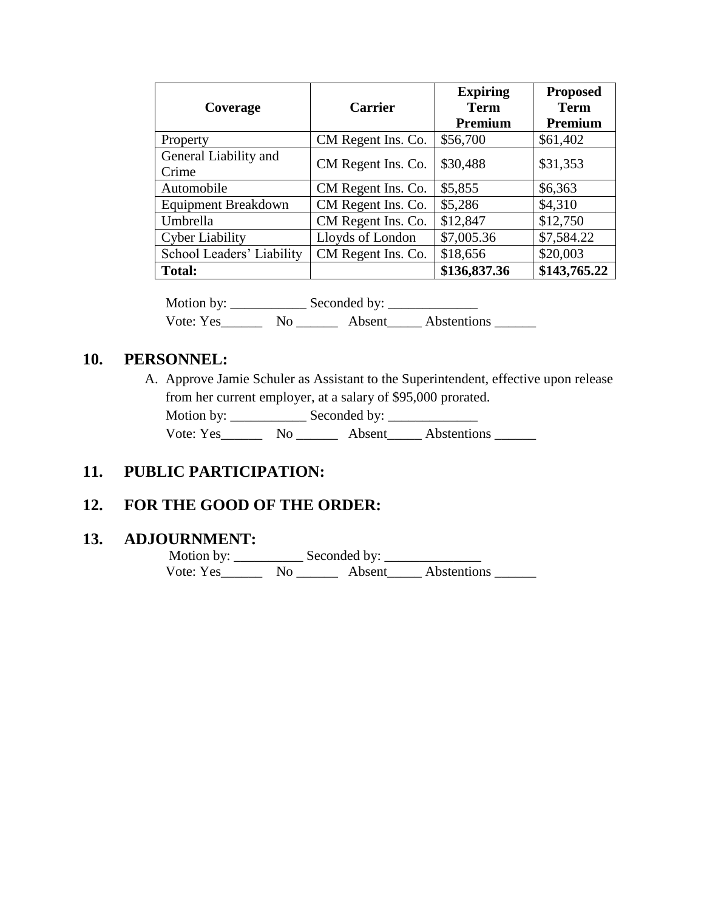| Coverage                       | <b>Carrier</b>     | <b>Expiring</b><br><b>Term</b><br>Premium | <b>Proposed</b><br><b>Term</b><br>Premium |
|--------------------------------|--------------------|-------------------------------------------|-------------------------------------------|
| Property                       | CM Regent Ins. Co. | \$56,700                                  | \$61,402                                  |
| General Liability and<br>Crime | CM Regent Ins. Co. | \$30,488                                  | \$31,353                                  |
| Automobile                     | CM Regent Ins. Co. | \$5,855                                   | \$6,363                                   |
| <b>Equipment Breakdown</b>     | CM Regent Ins. Co. | \$5,286                                   | \$4,310                                   |
| Umbrella                       | CM Regent Ins. Co. | \$12,847                                  | \$12,750                                  |
| <b>Cyber Liability</b>         | Lloyds of London   | \$7,005.36                                | \$7,584.22                                |
| School Leaders' Liability      | CM Regent Ins. Co. | \$18,656                                  | \$20,003                                  |
| <b>Total:</b>                  |                    | \$136,837.36                              | \$143,765.22                              |

Motion by: \_\_\_\_\_\_\_\_\_\_\_ Seconded by: \_\_\_\_\_\_\_\_\_\_\_\_\_ Vote: Yes\_\_\_\_\_\_\_\_ No \_\_\_\_\_\_\_\_ Absent\_\_\_\_\_ Abstentions \_\_\_\_\_\_\_

## **10. PERSONNEL:**

A. Approve Jamie Schuler as Assistant to the Superintendent, effective upon release from her current employer, at a salary of \$95,000 prorated.

Motion by: \_\_\_\_\_\_\_\_\_\_\_ Seconded by: \_\_\_\_\_\_\_\_\_\_\_\_\_

Vote: Yes\_\_\_\_\_\_\_\_ No \_\_\_\_\_\_\_\_ Absent\_\_\_\_\_\_ Abstentions \_\_\_\_\_\_\_

#### **11. PUBLIC PARTICIPATION:**

## **12. FOR THE GOOD OF THE ORDER:**

#### **13. ADJOURNMENT:**

 Motion by: \_\_\_\_\_\_\_\_\_\_ Seconded by: \_\_\_\_\_\_\_\_\_\_\_\_\_\_ Vote: Yes\_\_\_\_\_\_\_\_ No \_\_\_\_\_\_\_\_ Absent\_\_\_\_\_\_ Abstentions \_\_\_\_\_\_\_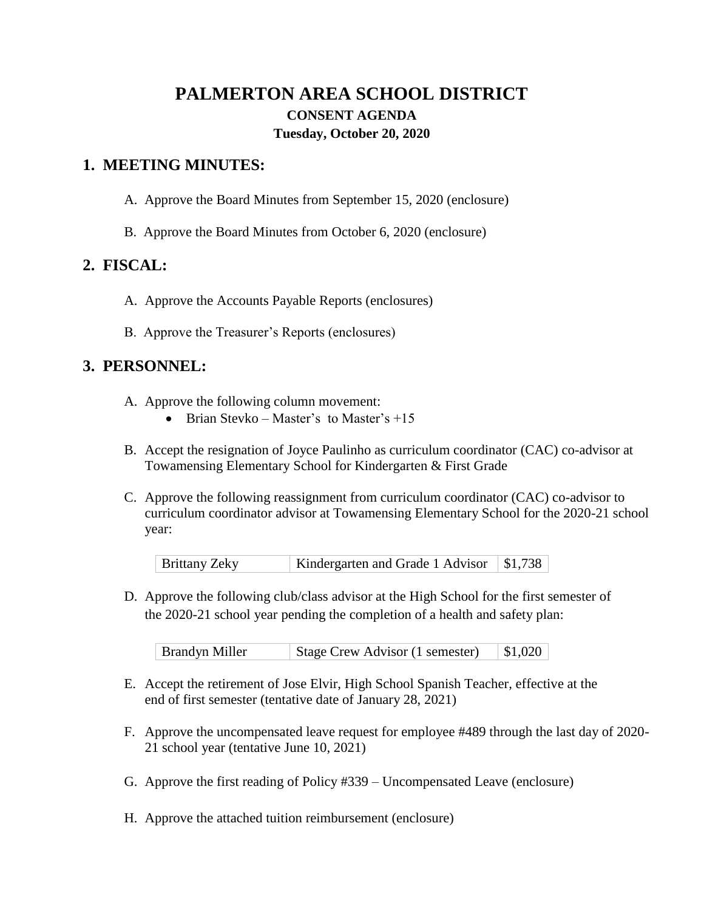# **PALMERTON AREA SCHOOL DISTRICT CONSENT AGENDA Tuesday, October 20, 2020**

### **1. MEETING MINUTES:**

- A. Approve the Board Minutes from September 15, 2020 (enclosure)
- B. Approve the Board Minutes from October 6, 2020 (enclosure)

## **2. FISCAL:**

- A. Approve the Accounts Payable Reports (enclosures)
- B. Approve the Treasurer's Reports (enclosures)

## **3. PERSONNEL:**

- A. Approve the following column movement:
	- Brian Stevko Master's to Master's  $+15$
- B. Accept the resignation of Joyce Paulinho as curriculum coordinator (CAC) co-advisor at Towamensing Elementary School for Kindergarten & First Grade
- C. Approve the following reassignment from curriculum coordinator (CAC) co-advisor to curriculum coordinator advisor at Towamensing Elementary School for the 2020-21 school year:

| <b>Brittany Zeky</b> | Kindergarten and Grade 1 Advisor \ \$1,738 |  |
|----------------------|--------------------------------------------|--|
|                      |                                            |  |

D. Approve the following club/class advisor at the High School for the first semester of the 2020-21 school year pending the completion of a health and safety plan:

| <b>Brandyn Miller</b> | Stage Crew Advisor (1 semester) | \$1,020 |
|-----------------------|---------------------------------|---------|
|-----------------------|---------------------------------|---------|

- E. Accept the retirement of Jose Elvir, High School Spanish Teacher, effective at the end of first semester (tentative date of January 28, 2021)
- F. Approve the uncompensated leave request for employee #489 through the last day of 2020- 21 school year (tentative June 10, 2021)
- G. Approve the first reading of Policy #339 Uncompensated Leave (enclosure)
- H. Approve the attached tuition reimbursement (enclosure)